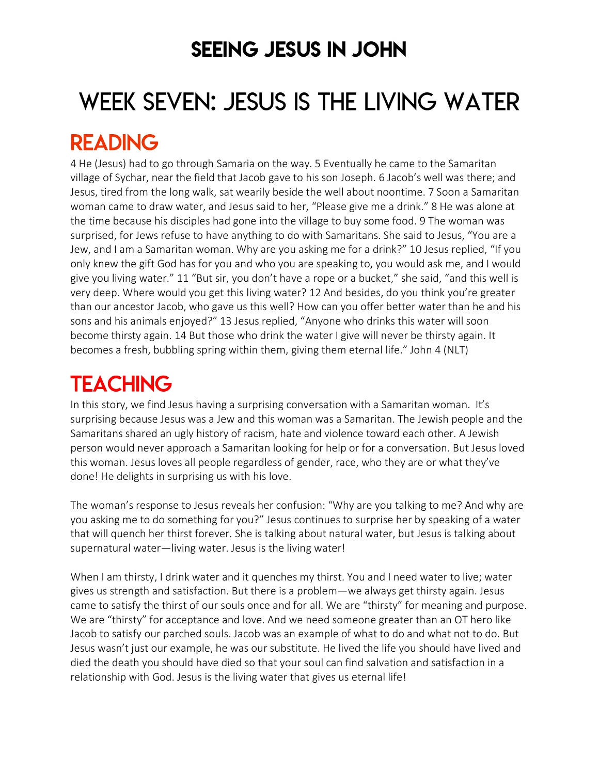## SEEING JESUS IN JOHN

# WEEK SEVEN: JESUS IS THE LIVING WATER

## READING

4 He (Jesus) had to go through Samaria on the way. 5 Eventually he came to the Samaritan village of Sychar, near the field that Jacob gave to his son Joseph. 6 Jacob's well was there; and Jesus, tired from the long walk, sat wearily beside the well about noontime. 7 Soon a Samaritan woman came to draw water, and Jesus said to her, "Please give me a drink." 8 He was alone at the time because his disciples had gone into the village to buy some food. 9 The woman was surprised, for Jews refuse to have anything to do with Samaritans. She said to Jesus, "You are a Jew, and I am a Samaritan woman. Why are you asking me for a drink?" 10 Jesus replied, "If you only knew the gift God has for you and who you are speaking to, you would ask me, and I would give you living water." 11 "But sir, you don't have a rope or a bucket," she said, "and this well is very deep. Where would you get this living water? 12 And besides, do you think you're greater than our ancestor Jacob, who gave us this well? How can you offer better water than he and his sons and his animals enjoyed?" 13 Jesus replied, "Anyone who drinks this water will soon become thirsty again. 14 But those who drink the water I give will never be thirsty again. It becomes a fresh, bubbling spring within them, giving them eternal life." John 4 (NLT)

# **TEACHING**

In this story, we find Jesus having a surprising conversation with a Samaritan woman. It's surprising because Jesus was a Jew and this woman was a Samaritan. The Jewish people and the Samaritans shared an ugly history of racism, hate and violence toward each other. A Jewish person would never approach a Samaritan looking for help or for a conversation. But Jesus loved this woman. Jesus loves all people regardless of gender, race, who they are or what they've done! He delights in surprising us with his love.

The woman's response to Jesus reveals her confusion: "Why are you talking to me? And why are you asking me to do something for you?" Jesus continues to surprise her by speaking of a water that will quench her thirst forever. She is talking about natural water, but Jesus is talking about supernatural water—living water. Jesus is the living water!

When I am thirsty, I drink water and it quenches my thirst. You and I need water to live; water gives us strength and satisfaction. But there is a problem—we always get thirsty again. Jesus came to satisfy the thirst of our souls once and for all. We are "thirsty" for meaning and purpose. We are "thirsty" for acceptance and love. And we need someone greater than an OT hero like Jacob to satisfy our parched souls. Jacob was an example of what to do and what not to do. But Jesus wasn't just our example, he was our substitute. He lived the life you should have lived and died the death you should have died so that your soul can find salvation and satisfaction in a relationship with God. Jesus is the living water that gives us eternal life!